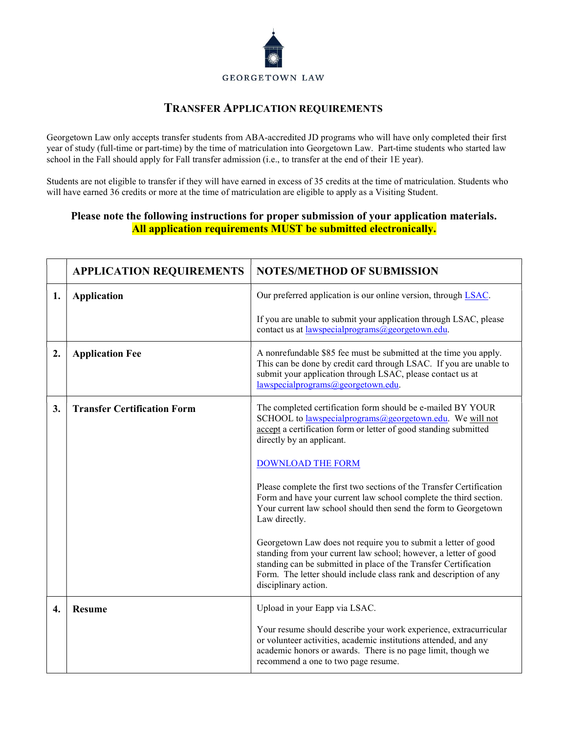

## TRANSFER APPLICATION REQUIREMENTS

Georgetown Law only accepts transfer students from ABA-accredited JD programs who will have only completed their first year of study (full-time or part-time) by the time of matriculation into Georgetown Law. Part-time students who started law school in the Fall should apply for Fall transfer admission (i.e., to transfer at the end of their 1E year).

Students are not eligible to transfer if they will have earned in excess of 35 credits at the time of matriculation. Students who will have earned 36 credits or more at the time of matriculation are eligible to apply as a Visiting Student.

## Please note the following instructions for proper submission of your application materials. All application requirements MUST be submitted electronically.

|    | <b>APPLICATION REQUIREMENTS</b>    | <b>NOTES/METHOD OF SUBMISSION</b>                                                                                                                                                                                                                                                                   |
|----|------------------------------------|-----------------------------------------------------------------------------------------------------------------------------------------------------------------------------------------------------------------------------------------------------------------------------------------------------|
| 1. | <b>Application</b>                 | Our preferred application is our online version, through LSAC.                                                                                                                                                                                                                                      |
|    |                                    | If you are unable to submit your application through LSAC, please<br>contact us at lawspecial programs @georgetown.edu.                                                                                                                                                                             |
| 2. | <b>Application Fee</b>             | A nonrefundable \$85 fee must be submitted at the time you apply.<br>This can be done by credit card through LSAC. If you are unable to<br>submit your application through LSAC, please contact us at<br>lawspecialprograms@georgetown.edu.                                                         |
| 3. | <b>Transfer Certification Form</b> | The completed certification form should be e-mailed BY YOUR<br>SCHOOL to lawspecial programs @georgetown.edu. We will not<br>accept a certification form or letter of good standing submitted<br>directly by an applicant.                                                                          |
|    |                                    | <b>DOWNLOAD THE FORM</b>                                                                                                                                                                                                                                                                            |
|    |                                    | Please complete the first two sections of the Transfer Certification<br>Form and have your current law school complete the third section.<br>Your current law school should then send the form to Georgetown<br>Law directly.                                                                       |
|    |                                    | Georgetown Law does not require you to submit a letter of good<br>standing from your current law school; however, a letter of good<br>standing can be submitted in place of the Transfer Certification<br>Form. The letter should include class rank and description of any<br>disciplinary action. |
| 4. | <b>Resume</b>                      | Upload in your Eapp via LSAC.                                                                                                                                                                                                                                                                       |
|    |                                    | Your resume should describe your work experience, extracurricular<br>or volunteer activities, academic institutions attended, and any<br>academic honors or awards. There is no page limit, though we<br>recommend a one to two page resume.                                                        |